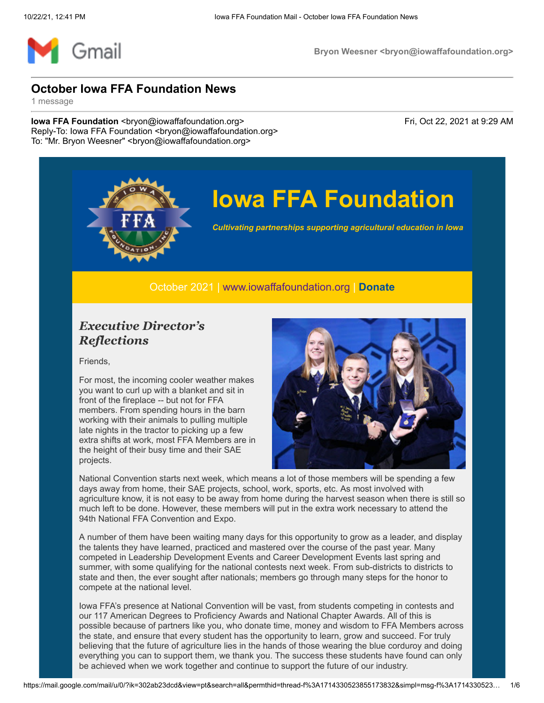

# **Iowa FFA Foundation**

*Cultivating partnerships supporting agricultural education in Iowa*

October 2021 | [www.iowaffafoundation.org](http://www.iowaffafoundation.org/) | **[Donate](https://eml-pusa01.app.blackbaud.net/intv2/j/4049CF62-07C6-4324-8417-8A4F3BBD9C61/r/4049CF62-07C6-4324-8417-8A4F3BBD9C61_f99130cc-ecca-47aa-970a-c309a41aea1a/l/8F92E3A1-AAF4-49CF-B3D2-694EA66F03C5/c)**

### *Executive Director's Reflections*

Friends,

For most, the incoming cooler weather makes you want to curl up with a blanket and sit in front of the fireplace -- but not for FFA members. From spending hours in the barn working with their animals to pulling multiple late nights in the tractor to picking up a few extra shifts at work, most FFA Members are in the height of their busy time and their SAE projects.



National Convention starts next week, which means a lot of those members will be spending a few days away from home, their SAE projects, school, work, sports, etc. As most involved with agriculture know, it is not easy to be away from home during the harvest season when there is still so much left to be done. However, these members will put in the extra work necessary to attend the 94th National FFA Convention and Expo.

A number of them have been waiting many days for this opportunity to grow as a leader, and display the talents they have learned, practiced and mastered over the course of the past year. Many competed in Leadership Development Events and Career Development Events last spring and summer, with some qualifying for the national contests next week. From sub-districts to districts to state and then, the ever sought after nationals; members go through many steps for the honor to compete at the national level.

Iowa FFA's presence at National Convention will be vast, from students competing in contests and our 117 American Degrees to Proficiency Awards and National Chapter Awards. All of this is possible because of partners like you, who donate time, money and wisdom to FFA Members across the state, and ensure that every student has the opportunity to learn, grow and succeed. For truly believing that the future of agriculture lies in the hands of those wearing the blue corduroy and doing everything you can to support them, we thank you. The success these students have found can only be achieved when we work together and continue to support the future of our industry.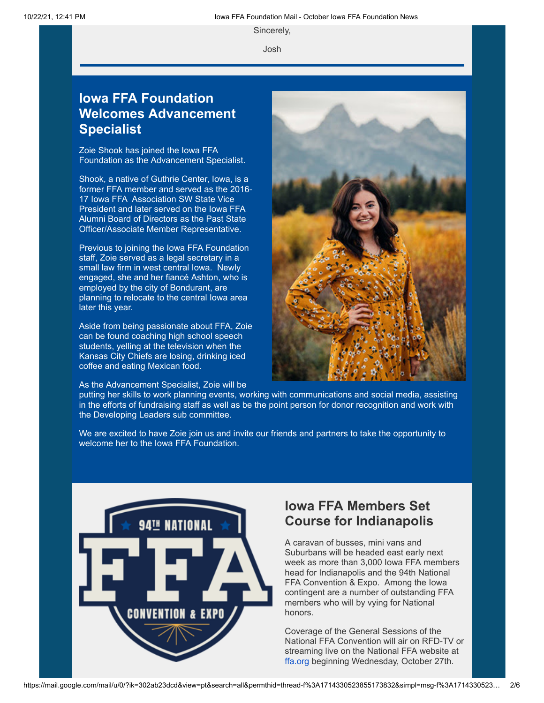Sincerely,

Josh

## **Iowa FFA Foundation Welcomes Advancement Specialist**

Zoie Shook has joined the Iowa FFA Foundation as the Advancement Specialist.

Shook, a native of Guthrie Center, Iowa, is a former FFA member and served as the 2016- 17 Iowa FFA Association SW State Vice President and later served on the Iowa FFA Alumni Board of Directors as the Past State Officer/Associate Member Representative.

Previous to joining the Iowa FFA Foundation staff, Zoie served as a legal secretary in a small law firm in west central Iowa. Newly engaged, she and her fiancé Ashton, who is employed by the city of Bondurant, are planning to relocate to the central Iowa area later this year.

Aside from being passionate about FFA, Zoie can be found coaching high school speech students, yelling at the television when the Kansas City Chiefs are losing, drinking iced coffee and eating Mexican food.

As the Advancement Specialist, Zoie will be



putting her skills to work planning events, working with communications and social media, assisting in the efforts of fundraising staff as well as be the point person for donor recognition and work with the Developing Leaders sub committee.

We are excited to have Zoie join us and invite our friends and partners to take the opportunity to welcome her to the Iowa FFA Foundation.



## **Iowa FFA Members Set Course for Indianapolis**

A caravan of busses, mini vans and Suburbans will be headed east early next week as more than 3,000 Iowa FFA members head for Indianapolis and the 94th National FFA Convention & Expo. Among the Iowa contingent are a number of outstanding FFA members who will by vying for National honors.

Coverage of the General Sessions of the National FFA Convention will air on RFD-TV or streaming live on the National FFA website at [ffa.org](http://ffa.org/) beginning Wednesday, October 27th.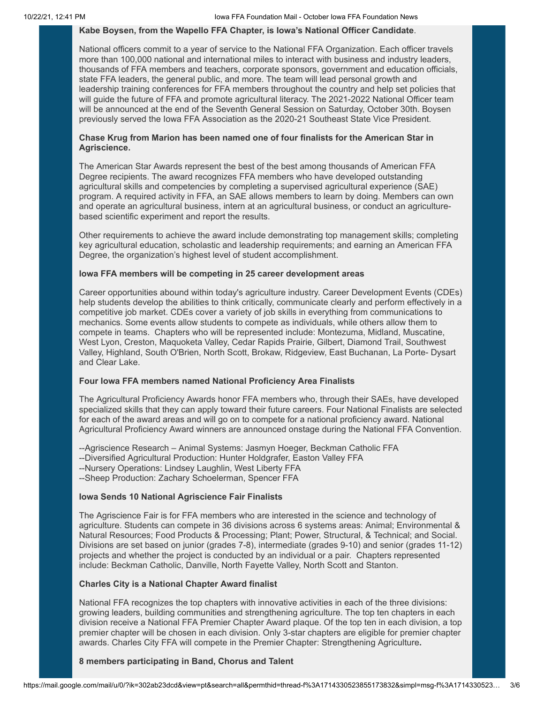#### **Kabe Boysen, from the Wapello FFA Chapter, is Iowa's National Officer Candidate**.

National officers commit to a year of service to the National FFA Organization. Each officer travels more than 100,000 national and international miles to interact with business and industry leaders, thousands of FFA members and teachers, corporate sponsors, government and education officials, state FFA leaders, the general public, and more. The team will lead personal growth and leadership training conferences for FFA members throughout the country and help set policies that will guide the future of FFA and promote agricultural literacy. The 2021-2022 National Officer team will be announced at the end of the Seventh General Session on Saturday, October 30th. Boysen previously served the Iowa FFA Association as the 2020-21 Southeast State Vice President.

#### **Chase Krug from Marion has been named one of four finalists for the American Star in Agriscience.**

The American Star Awards represent the best of the best among thousands of American FFA Degree recipients. The award recognizes FFA members who have developed outstanding agricultural skills and competencies by completing a supervised agricultural experience (SAE) program. A required activity in FFA, an SAE allows members to learn by doing. Members can own and operate an agricultural business, intern at an agricultural business, or conduct an agriculturebased scientific experiment and report the results.

Other requirements to achieve the award include demonstrating top management skills; completing key agricultural education, scholastic and leadership requirements; and earning an American FFA Degree, the organization's highest level of student accomplishment.

#### **Iowa FFA members will be competing in 25 career development areas**

Career opportunities abound within today's agriculture industry. Career Development Events (CDEs) help students develop the abilities to think critically, communicate clearly and perform effectively in a competitive job market. CDEs cover a variety of job skills in everything from communications to mechanics. Some events allow students to compete as individuals, while others allow them to compete in teams. Chapters who will be represented include: Montezuma, Midland, Muscatine, West Lyon, Creston, Maquoketa Valley, Cedar Rapids Prairie, Gilbert, Diamond Trail, Southwest Valley, Highland, South O'Brien, North Scott, Brokaw, Ridgeview, East Buchanan, La Porte- Dysart and Clear Lake.

#### **Four Iowa FFA members named National Proficiency Area Finalists**

The Agricultural Proficiency Awards honor FFA members who, through their SAEs, have developed specialized skills that they can apply toward their future careers. Four National Finalists are selected for each of the award areas and will go on to compete for a national proficiency award. National Agricultural Proficiency Award winners are announced onstage during the National FFA Convention.

- --Agriscience Research Animal Systems: Jasmyn Hoeger, Beckman Catholic FFA
- --Diversified Agricultural Production: Hunter Holdgrafer, Easton Valley FFA
- --Nursery Operations: Lindsey Laughlin, West Liberty FFA
- --Sheep Production: Zachary Schoelerman, Spencer FFA

#### **Iowa Sends 10 National Agriscience Fair Finalists**

The Agriscience Fair is for FFA members who are interested in the science and technology of agriculture. Students can compete in 36 divisions across 6 systems areas: Animal; Environmental & Natural Resources; Food Products & Processing; Plant; Power, Structural, & Technical; and Social. Divisions are set based on junior (grades 7-8), intermediate (grades 9-10) and senior (grades 11-12) projects and whether the project is conducted by an individual or a pair. Chapters represented include: Beckman Catholic, Danville, North Fayette Valley, North Scott and Stanton.

#### **Charles City is a National Chapter Award finalist**

National FFA recognizes the top chapters with innovative activities in each of the three divisions: growing leaders, building communities and strengthening agriculture. The top ten chapters in each division receive a National FFA Premier Chapter Award plaque. Of the top ten in each division, a top premier chapter will be chosen in each division. Only 3-star chapters are eligible for premier chapter awards. Charles City FFA will compete in the Premier Chapter: Strengthening Agriculture**.**

#### **8 members participating in Band, Chorus and Talent**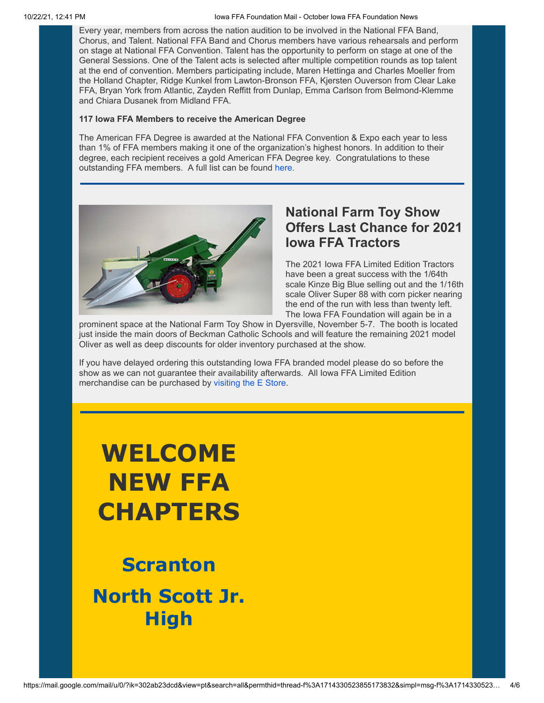Every year, members from across the nation audition to be involved in the National FFA Band, Chorus, and Talent. National FFA Band and Chorus members have various rehearsals and perform on stage at National FFA Convention. Talent has the opportunity to perform on stage at one of the General Sessions. One of the Talent acts is selected after multiple competition rounds as top talent at the end of convention. Members participating include, Maren Hettinga and Charles Moeller from the Holland Chapter, Ridge Kunkel from Lawton-Bronson FFA, Kjersten Ouverson from Clear Lake FFA, Bryan York from Atlantic, Zayden Reffitt from Dunlap, Emma Carlson from Belmond-Klemme and Chiara Dusanek from Midland FFA.

#### **117 Iowa FFA Members to receive the American Degree**

The American FFA Degree is awarded at the National FFA Convention & Expo each year to less than 1% of FFA members making it one of the organization's highest honors. In addition to their degree, each recipient receives a gold American FFA Degree key. Congratulations to these outstanding FFA members. A full list can be found [here.](https://eml-pusa01.app.blackbaud.net/intv2/j/4049CF62-07C6-4324-8417-8A4F3BBD9C61/r/4049CF62-07C6-4324-8417-8A4F3BBD9C61_f99130cc-ecca-47aa-970a-c309a41aea1a/l/C8ADBF82-4605-4ABC-AE82-65CA173E06E3/c)



## **National Farm Toy Show Offers Last Chance for 2021 Iowa FFA Tractors**

The 2021 Iowa FFA Limited Edition Tractors have been a great success with the 1/64th scale Kinze Big Blue selling out and the 1/16th scale Oliver Super 88 with corn picker nearing the end of the run with less than twenty left. The Iowa FFA Foundation will again be in a

prominent space at the National Farm Toy Show in Dyersville, November 5-7. The booth is located just inside the main doors of Beckman Catholic Schools and will feature the remaining 2021 model Oliver as well as deep discounts for older inventory purchased at the show.

If you have delayed ordering this outstanding Iowa FFA branded model please do so before the show as we can not guarantee their availability afterwards. All Iowa FFA Limited Edition merchandise can be purchased by [visiting the E Store](https://eml-pusa01.app.blackbaud.net/intv2/j/4049CF62-07C6-4324-8417-8A4F3BBD9C61/r/4049CF62-07C6-4324-8417-8A4F3BBD9C61_f99130cc-ecca-47aa-970a-c309a41aea1a/l/7C2DC8A6-B916-4BA2-8D78-9D09CE7E2023/c).

# **WELCOME NEW FFA CHAPTERS**

**Scranton North Scott Jr. High**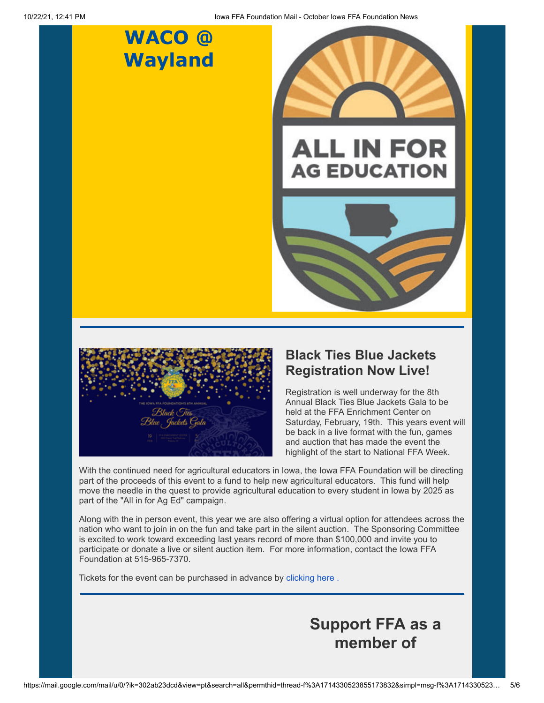## **WACO @ Wayland**









## **Black Ties Blue Jackets Registration Now Live!**

Registration is well underway for the 8th Annual Black Ties Blue Jackets Gala to be held at the FFA Enrichment Center on Saturday, February, 19th. This years event will be back in a live format with the fun, games and auction that has made the event the highlight of the start to National FFA Week.

With the continued need for agricultural educators in Iowa, the Iowa FFA Foundation will be directing part of the proceeds of this event to a fund to help new agricultural educators. This fund will help move the needle in the quest to provide agricultural education to every student in Iowa by 2025 as part of the "All in for Ag Ed" campaign.

Along with the in person event, this year we are also offering a virtual option for attendees across the nation who want to join in on the fun and take part in the silent auction. The Sponsoring Committee is excited to work toward exceeding last years record of more than \$100,000 and invite you to participate or donate a live or silent auction item. For more information, contact the Iowa FFA Foundation at 515-965-7370.

Tickets for the event can be purchased in advance by [clicking here .](https://eml-pusa01.app.blackbaud.net/intv2/j/4049CF62-07C6-4324-8417-8A4F3BBD9C61/r/4049CF62-07C6-4324-8417-8A4F3BBD9C61_f99130cc-ecca-47aa-970a-c309a41aea1a/l/1252F69C-AC7A-443F-98F9-5D4EE9E59C97/c)

**Support FFA as a member of**